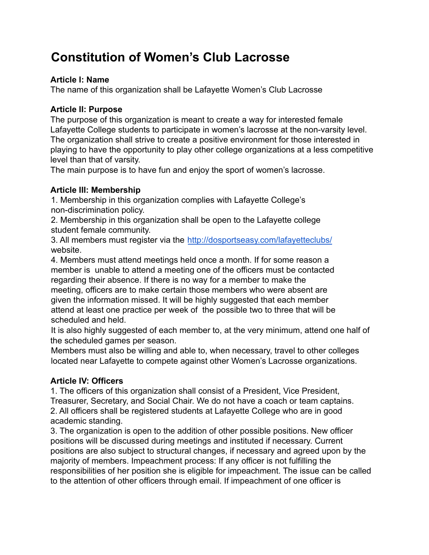# **Constitution of Women's Club Lacrosse**

## **Article I: Name**

The name of this organization shall be Lafayette Women's Club Lacrosse

## **Article II: Purpose**

The purpose of this organization is meant to create a way for interested female Lafayette College students to participate in women's lacrosse at the non-varsity level. The organization shall strive to create a positive environment for those interested in playing to have the opportunity to play other college organizations at a less competitive level than that of varsity.

The main purpose is to have fun and enjoy the sport of women's lacrosse.

# **Article III: Membership**

1. Membership in this organization complies with Lafayette College's non-discrimination policy.

2. Membership in this organization shall be open to the Lafayette college student female community.

3. All members must register via the <http://dosportseasy.com/lafayetteclubs/> website.

4. Members must attend meetings held once a month. If for some reason a member is unable to attend a meeting one of the officers must be contacted regarding their absence. If there is no way for a member to make the meeting, officers are to make certain those members who were absent are given the information missed. It will be highly suggested that each member attend at least one practice per week of the possible two to three that will be scheduled and held.

It is also highly suggested of each member to, at the very minimum, attend one half of the scheduled games per season.

Members must also be willing and able to, when necessary, travel to other colleges located near Lafayette to compete against other Women's Lacrosse organizations.

# **Article IV: Officers**

1. The officers of this organization shall consist of a President, Vice President, Treasurer, Secretary, and Social Chair. We do not have a coach or team captains. 2. All officers shall be registered students at Lafayette College who are in good academic standing.

3. The organization is open to the addition of other possible positions. New officer positions will be discussed during meetings and instituted if necessary. Current positions are also subject to structural changes, if necessary and agreed upon by the majority of members. Impeachment process: If any officer is not fulfilling the responsibilities of her position she is eligible for impeachment. The issue can be called to the attention of other officers through email. If impeachment of one officer is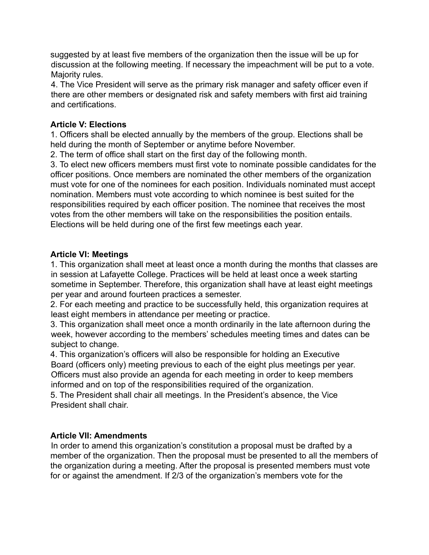suggested by at least five members of the organization then the issue will be up for discussion at the following meeting. If necessary the impeachment will be put to a vote. Majority rules.

4. The Vice President will serve as the primary risk manager and safety officer even if there are other members or designated risk and safety members with first aid training and certifications.

#### **Article V: Elections**

1. Officers shall be elected annually by the members of the group. Elections shall be held during the month of September or anytime before November.

2. The term of office shall start on the first day of the following month.

3. To elect new officers members must first vote to nominate possible candidates for the officer positions. Once members are nominated the other members of the organization must vote for one of the nominees for each position. Individuals nominated must accept nomination. Members must vote according to which nominee is best suited for the responsibilities required by each officer position. The nominee that receives the most votes from the other members will take on the responsibilities the position entails. Elections will be held during one of the first few meetings each year.

## **Article VI: Meetings**

1. This organization shall meet at least once a month during the months that classes are in session at Lafayette College. Practices will be held at least once a week starting sometime in September. Therefore, this organization shall have at least eight meetings per year and around fourteen practices a semester.

2. For each meeting and practice to be successfully held, this organization requires at least eight members in attendance per meeting or practice.

3. This organization shall meet once a month ordinarily in the late afternoon during the week, however according to the members' schedules meeting times and dates can be subject to change.

4. This organization's officers will also be responsible for holding an Executive Board (officers only) meeting previous to each of the eight plus meetings per year. Officers must also provide an agenda for each meeting in order to keep members informed and on top of the responsibilities required of the organization.

5. The President shall chair all meetings. In the President's absence, the Vice President shall chair.

# **Article VII: Amendments**

In order to amend this organization's constitution a proposal must be drafted by a member of the organization. Then the proposal must be presented to all the members of the organization during a meeting. After the proposal is presented members must vote for or against the amendment. If 2/3 of the organization's members vote for the